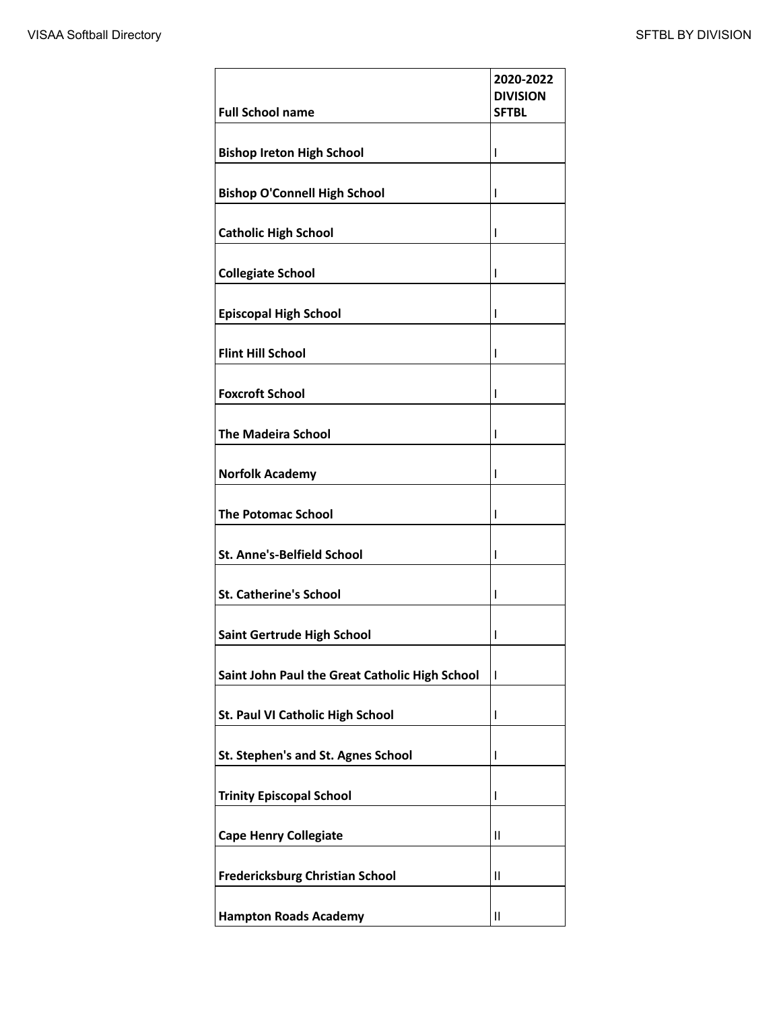| <b>Full School name</b>                        | 2020-2022<br><b>DIVISION</b><br><b>SFTBL</b> |
|------------------------------------------------|----------------------------------------------|
|                                                |                                              |
| <b>Bishop Ireton High School</b>               | $\overline{1}$                               |
| <b>Bishop O'Connell High School</b>            | T                                            |
| <b>Catholic High School</b>                    | T                                            |
| <b>Collegiate School</b>                       | $\overline{1}$                               |
| <b>Episcopal High School</b>                   | T                                            |
| <b>Flint Hill School</b>                       | T                                            |
| <b>Foxcroft School</b>                         | $\mathsf{I}$                                 |
| <b>The Madeira School</b>                      | T                                            |
| <b>Norfolk Academy</b>                         | $\overline{1}$                               |
| <b>The Potomac School</b>                      | T                                            |
| <b>St. Anne's-Belfield School</b>              | T                                            |
| <b>St. Catherine's School</b>                  | I                                            |
| Saint Gertrude High School                     | I                                            |
| Saint John Paul the Great Catholic High School | $\mathbf{I}$                                 |
| St. Paul VI Catholic High School               | $\mathsf{I}$                                 |
| St. Stephen's and St. Agnes School             | I                                            |
| <b>Trinity Episcopal School</b>                | T                                            |
| <b>Cape Henry Collegiate</b>                   | $\mathsf{II}$                                |
| <b>Fredericksburg Christian School</b>         | $\mathsf{II}$                                |
| <b>Hampton Roads Academy</b>                   | $\mathbf{II}$                                |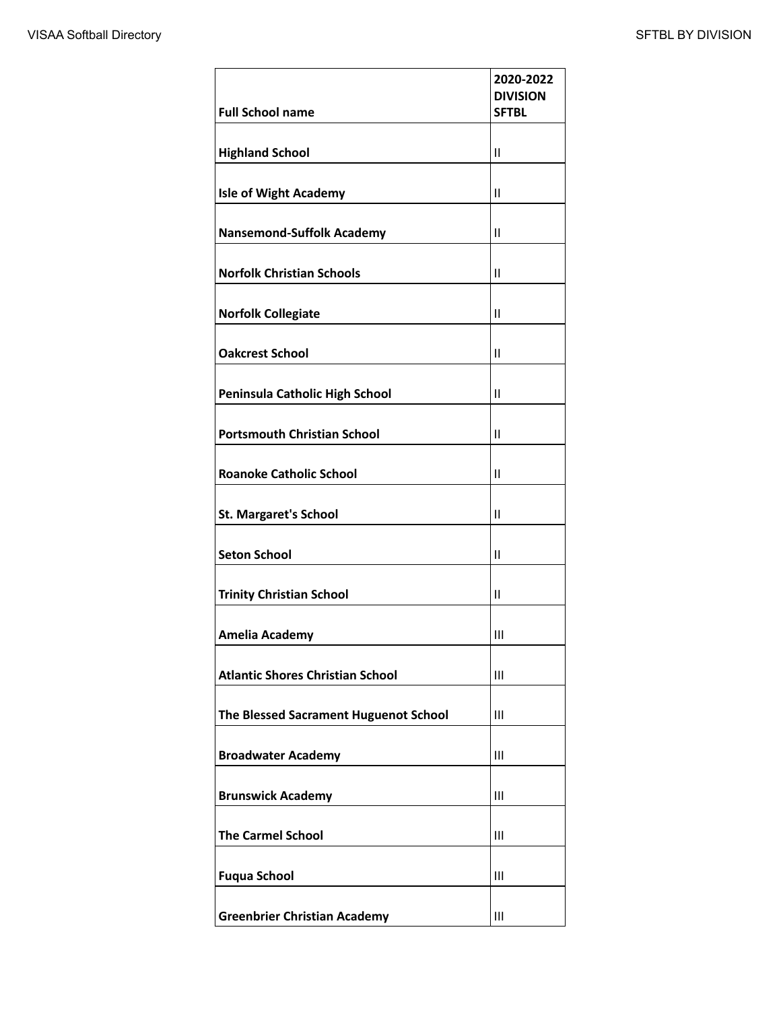|                                         | 2020-2022<br><b>DIVISION</b> |
|-----------------------------------------|------------------------------|
| <b>Full School name</b>                 | <b>SFTBL</b>                 |
| <b>Highland School</b>                  | Ш                            |
| <b>Isle of Wight Academy</b>            | $\mathbf{H}$                 |
| <b>Nansemond-Suffolk Academy</b>        | $\mathbf{I}$                 |
| <b>Norfolk Christian Schools</b>        | $\mathbf{H}$                 |
| <b>Norfolk Collegiate</b>               | Ш                            |
| <b>Oakcrest School</b>                  | $\mathbf{I}$                 |
| Peninsula Catholic High School          | $\mathbf{I}$                 |
| <b>Portsmouth Christian School</b>      | Ш                            |
| <b>Roanoke Catholic School</b>          | Ш                            |
| <b>St. Margaret's School</b>            | Ш                            |
| <b>Seton School</b>                     | $\mathsf{II}$                |
| <b>Trinity Christian School</b>         | $\mathbf{II}$                |
| <b>Amelia Academy</b>                   | $\mathbf{III}$               |
| <b>Atlantic Shores Christian School</b> | $\mathbf{III}$               |
| The Blessed Sacrament Huguenot School   | III                          |
| <b>Broadwater Academy</b>               | $\mathbf{III}$               |
| <b>Brunswick Academy</b>                | Ш                            |
| <b>The Carmel School</b>                | Ш                            |
| <b>Fuqua School</b>                     | Ш                            |
| <b>Greenbrier Christian Academy</b>     | Ш                            |